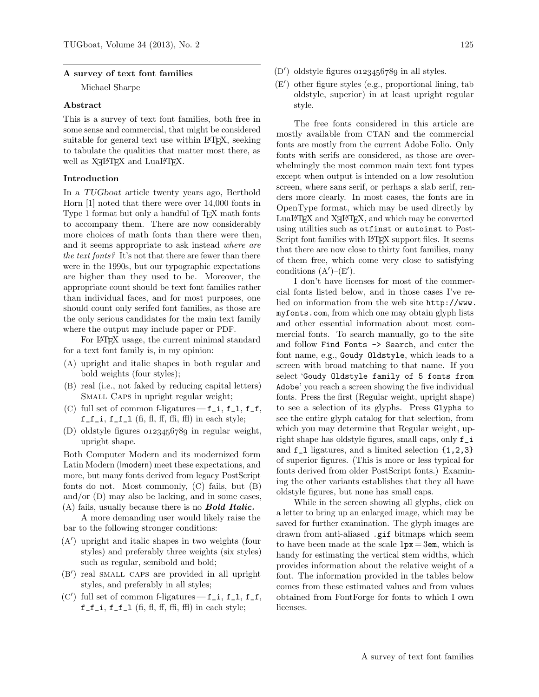#### A survey of text font families

Michael Sharpe

### Abstract

This is a survey of text font families, both free in some sense and commercial, that might be considered suitable for general text use within L<sup>AT</sup>EX, seeking to tabulate the qualities that matter most there, as well as  $X \rightarrow Y \rightarrow X$  and  $\text{LuaI-}\text{F}X$ .

### Introduction

In a TUGboat article twenty years ago, Berthold Horn [\[1\]](#page-4-0) noted that there were over 14,000 fonts in Type 1 format but only a handful of T<sub>E</sub>X math fonts to accompany them. There are now considerably more choices of math fonts than there were then, and it seems appropriate to ask instead where are the text fonts? It's not that there are fewer than there were in the 1990s, but our typographic expectations are higher than they used to be. Moreover, the appropriate count should be text font families rather than individual faces, and for most purposes, one should count only serifed font families, as those are the only serious candidates for the main text family where the output may include paper or PDF.

For LATEX usage, the current minimal standard for a text font family is, in my opinion:

- (A) upright and italic shapes in both regular and bold weights (four styles);
- (B) real (i.e., not faked by reducing capital letters) SMALL CAPS in upright regular weight;
- (C) full set of common f-ligatures— $f_i$ ,  $f_i$ ,  $f_f$ ,  $f_f_i, f_f_l$  (fi, fl, ff, ffi, ffl) in each style;
- (D) oldstyle figures  $0.123456789$  in regular weight, upright shape.

Both Computer Modern and its modernized form Latin Modern (lmodern) meet these expectations, and more, but many fonts derived from legacy PostScript fonts do not. Most commonly, (C) fails, but (B) and/or (D) may also be lacking, and in some cases,  $(A)$  fails, usually because there is no **Bold Italic.** 

A more demanding user would likely raise the bar to the following stronger conditions:

- (A 0 ) upright and italic shapes in two weights (four styles) and preferably three weights (six styles) such as regular, semibold and bold;
- (B 0 ) real small caps are provided in all upright styles, and preferably in all styles;
- $(C')$  full set of common f-ligatures -f\_i, f\_l, f\_f,  $f_f_i, f_f_l$  (fi, fl, ff, ffi, ffl) in each style;
- $(D')$  oldstyle figures  $0123456789$  in all styles.
- (E 0 ) other figure styles (e.g., proportional lining, tab oldstyle, superior) in at least upright regular style.

The free fonts considered in this article are mostly available from CTAN and the commercial fonts are mostly from the current Adobe Folio. Only fonts with serifs are considered, as those are overwhelmingly the most common main text font types except when output is intended on a low resolution screen, where sans serif, or perhaps a slab serif, renders more clearly. In most cases, the fonts are in OpenType format, which may be used directly by  $\text{LuaI4T}$  and  $\text{X}_1$  LeT<sub>E</sub>X, and which may be converted using utilities such as otfinst or autoinst to Post-Script font families with LAT<sub>EX</sub> support files. It seems that there are now close to thirty font families, many of them free, which come very close to satisfying conditions  $(A')-(E').$ 

I don't have licenses for most of the commercial fonts listed below, and in those cases I've relied on information from the web site [http://www.](http://www.myfonts.com) [myfonts.com](http://www.myfonts.com), from which one may obtain glyph lists and other essential information about most commercial fonts. To search manually, go to the site and follow Find Fonts -> Search, and enter the font name, e.g., Goudy Oldstyle, which leads to a screen with broad matching to that name. If you select 'Goudy Oldstyle family of 5 fonts from Adobe' you reach a screen showing the five individual fonts. Press the first (Regular weight, upright shape) to see a selection of its glyphs. Press Glyphs to see the entire glyph catalog for that selection, from which you may determine that Regular weight, upright shape has oldstyle figures, small caps, only f\_i and f\_l ligatures, and a limited selection {1,2,3} of superior figures. (This is more or less typical for fonts derived from older PostScript fonts.) Examining the other variants establishes that they all have oldstyle figures, but none has small caps.

While in the screen showing all glyphs, click on a letter to bring up an enlarged image, which may be saved for further examination. The glyph images are drawn from anti-aliased .gif bitmaps which seem to have been made at the scale  $1px = 3em$ , which is handy for estimating the vertical stem widths, which provides information about the relative weight of a font. The information provided in the tables below comes from these estimated values and from values obtained from FontForge for fonts to which I own licenses.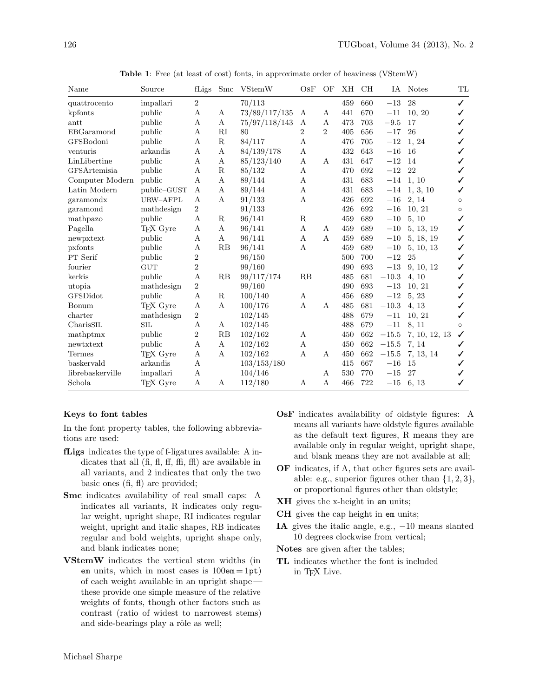| Name                        | Source      | fLigs          | Smc         | <b>VStemW</b> | OSF              | OF           | XH  | <b>CH</b> |         | IA Notes      | TL      |
|-----------------------------|-------------|----------------|-------------|---------------|------------------|--------------|-----|-----------|---------|---------------|---------|
| quattrocento                | impallari   | 2              |             | 70/113        |                  |              | 459 | 660       | $-13$   | 28            | ✓       |
| kpfonts                     | public      | А              | А           | 73/89/117/135 | А                | А            | 441 | 670       | $-11$   | 10, 20        | ✓       |
| antt                        | public      | А              | Α           | 75/97/118/143 | А                | А            | 473 | 703       | $-9.5$  | 17            |         |
| $\operatorname{EBGaramond}$ | public      | А              | RI          | 80            | $\overline{2}$   | 2            | 405 | 656       | $-17$   | 26            | ✓       |
| GFSBodoni                   | public      | А              | $\mathbf R$ | 84/117        | А                |              | 476 | 705       | $-12$   | 1, 24         |         |
| venturis                    | arkandis    | А              | A           | 84/139/178    | A                |              | 432 | 643       | $-16$   | 16            |         |
| LinLibertine                | public      | А              | А           | 85/123/140    | A                | A            | 431 | 647       | $-12$   | 14            | ✓       |
| GFSArtemisia                | public      | A              | $\mathbf R$ | 85/132        | $\boldsymbol{A}$ |              | 470 | 692       | $-12$   | 22            |         |
| Computer Modern             | public      | А              | А           | 89/144        | A                |              | 431 | 683       | $-14$   | 1, 10         |         |
| Latin Modern                | public-GUST | А              | А           | 89/144        | А                |              | 431 | 683       | $-14$   | 1, 3, 10      | ✓       |
| garamondx                   | URW-AFPL    | А              | A           | 91/133        | A                |              | 426 | 692       | $-16$   | 2, 14         | $\circ$ |
| garamond                    | mathdesign  | 2              |             | 91/133        |                  |              | 426 | 692       | $-16$   | 10, 21        | $\circ$ |
| mathpazo                    | public      | A              | R           | 96/141        | R                |              | 459 | 689       | $-10$   | 5, 10         | ✓       |
| Pagella                     | TFX Gyre    | Α              | А           | 96/141        | A                | A            | 459 | 689       | $-10$   | 5, 13, 19     | ✓       |
| newpxtext                   | public      | А              | А           | 96/141        | А                | $\mathbf{A}$ | 459 | 689       | $-10$   | 5, 18, 19     | ✓       |
| pxfonts                     | public      | А              | RB          | 96/141        | A                |              | 459 | 689       | $-10$   | 5, 10, 13     | ✓       |
| PT Serif                    | public      | $\overline{2}$ |             | 96/150        |                  |              | 500 | 700       | $-12$   | 25            | ✓       |
| fourier                     | <b>GUT</b>  | $\overline{2}$ |             | 99/160        |                  |              | 490 | 693       | $-13$   | 9, 10, 12     | ✓       |
| kerkis                      | public      | A              | RB          | 99/117/174    | RB               |              | 485 | 681       | $-10.3$ | 4, 10         | ✓       |
| utopia                      | mathdesign  | $\overline{2}$ |             | 99/160        |                  |              | 490 | 693       | $-13$   | 10, 21        |         |
| GFSDidot                    | public      | А              | $\mathbf R$ | 100/140       | А                |              | 456 | 689       | $-12$   | 5, 23         |         |
| Bonum                       | TFX Gyre    | А              | А           | 100/176       | A                | А            | 485 | 681       | $-10.3$ | 4, 13         |         |
| charter                     | mathdesign  | $\overline{2}$ |             | 102/145       |                  |              | 488 | 679       | $-11$   | 10, 21        | ✓       |
| CharisSIL                   | <b>SIL</b>  | А              | А           | 102/145       |                  |              | 488 | 679       | $-11$   | 8, 11         | $\circ$ |
| mathptmx                    | public      | $\overline{2}$ | RB          | 102/162       | А                |              | 450 | 662       | $-15.5$ | 7, 10, 12, 13 | ✓       |
| newtxtext                   | public      | А              | A           | 102/162       | A                |              | 450 | 662       | $-15.5$ | 7, 14         | ✓       |
| <b>Termes</b>               | TFX Gyre    | Α              | A           | 102/162       | A                | A            | 450 | 662       | $-15.5$ | 7, 13, 14     | ✓       |
| baskervald                  | arkandis    | А              |             | 103/153/180   |                  |              | 415 | 667       | $-16$   | 15            |         |
| librebaskerville            | impallari   | А              |             | 104/146       |                  | A            | 530 | 770       | $-15$   | 27            |         |
| Schola                      | TFX Gyre    | Α              | A           | 112/180       | А                | A            | 466 | 722       | $-15$   | 6, 13         | ✓       |

Table 1: Free (at least of cost) fonts, in approximate order of heaviness (VStemW)

### Keys to font tables

In the font property tables, the following abbreviations are used:

- fLigs indicates the type of f-ligatures available: A indicates that all (fi, fl, ff, ffi, ffl) are available in all variants, and 2 indicates that only the two basic ones (fi, fl) are provided;
- Smc indicates availability of real small caps: A indicates all variants, R indicates only regular weight, upright shape, RI indicates regular weight, upright and italic shapes, RB indicates regular and bold weights, upright shape only, and blank indicates none;
- VStemW indicates the vertical stem widths (in em units, which in most cases is  $100 \text{em} = 1 \text{pt}$ ) of each weight available in an upright shape these provide one simple measure of the relative weights of fonts, though other factors such as contrast (ratio of widest to narrowest stems) and side-bearings play a rôle as well;
- OsF indicates availability of oldstyle figures: A means all variants have oldstyle figures available as the default text figures, R means they are available only in regular weight, upright shape, and blank means they are not available at all;
- OF indicates, if A, that other figures sets are available: e.g., superior figures other than  $\{1, 2, 3\}$ , or proportional figures other than oldstyle;
- **XH** gives the x-height in em units;
- CH gives the cap height in em units;
- IA gives the italic angle, e.g.,  $-10$  means slanted 10 degrees clockwise from vertical;
- Notes are given after the tables;
- TL indicates whether the font is included in TEX Live.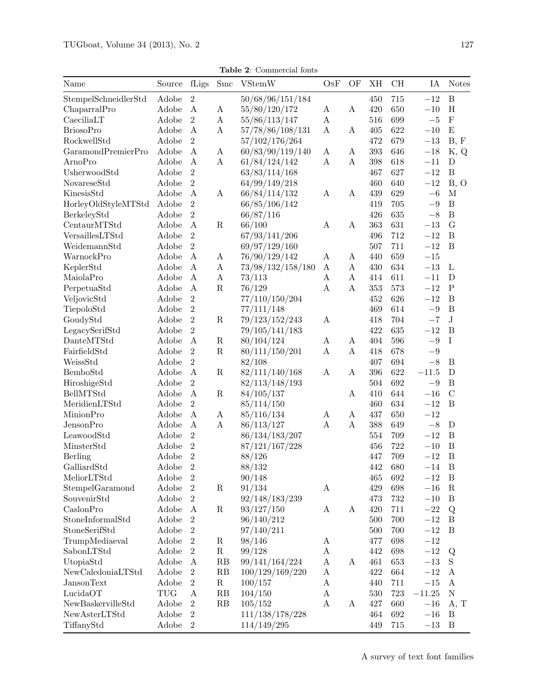Table 2: Commercial fonts

| Name                 | Source | fLigs            | Smc              | <b>VStemW</b>     | OsF                   | OF               | XH  | CH      | IA       | <b>Notes</b>     |
|----------------------|--------|------------------|------------------|-------------------|-----------------------|------------------|-----|---------|----------|------------------|
| StempelSchneidlerStd | Adobe  | $\mathbf{2}$     |                  | 50/68/96/151/184  |                       |                  | 450 | 715     | $-12$    | $\, {\bf B}$     |
| ChaparralPro         | Adobe  | $\mathbf A$      | A                | 55/80/120/172     | A                     | $\boldsymbol{A}$ | 420 | 650     | $-10\,$  | $\rm H$          |
| CaeciliaLT           | Adobe  | $\overline{2}$   | $\boldsymbol{A}$ | 55/86/113/147     | A                     |                  | 516 | 699     | $-5\,$   | ${\bf F}$        |
| <b>BriosoPro</b>     | Adobe  | $\boldsymbol{A}$ | $\boldsymbol{A}$ | 57/78/86/108/131  | $\boldsymbol{A}$      | A                | 405 | 622     | $-10\,$  | E                |
| RockwellStd          | Adobe  | $\overline{2}$   |                  | 57/102/176/264    |                       |                  | 472 | 679     | $-13$    | B, F             |
| GaramondPremierPro   | Adobe  | A                | A                | 60/83/90/119/140  | A                     | A                | 393 | 646     | $-18$    | K, Q             |
| ArnoPro              | Adobe  | $\boldsymbol{A}$ | A                | 61/84/124/142     | A                     | $\boldsymbol{A}$ | 398 | 618     | $-11$    | D                |
| UsherwoodStd         | Adobe  | $\overline{2}$   |                  | 63/83/114/168     |                       |                  | 467 | 627     | $-12$    | $\boldsymbol{B}$ |
| NovareseStd          | Adobe  | $\overline{2}$   |                  | 64/99/149/218     |                       |                  | 460 | 640     | $-12$    | B, O             |
| KinesisStd           | Adobe  | $\mathbf{A}$     | A                | 66/84/114/132     | A                     | A                | 439 | 629     | $-6$     | $\mathbf M$      |
| HorleyOldStyleMTStd  | Adobe  | $\overline{2}$   |                  | 66/85/106/142     |                       |                  | 419 | 705     | $-9\,$   | $\boldsymbol{B}$ |
| BerkeleyStd          | Adobe  | $\overline{2}$   |                  | 66/87/116         |                       |                  | 426 | 635     | $-8$     | $\, {\bf B}$     |
| CentaurMTStd         | Adobe  | $\mathbf{A}$     | $\mathbf R$      | 66/100            | A                     | $\mathbf{A}$     | 363 | 631     | $-13$    | $\overline{G}$   |
| VersaillesLTStd      | Adobe  | $\overline{2}$   |                  | 67/93/141/206     |                       |                  | 496 | 712     | $-12$    | $\, {\bf B}$     |
| WeidemannStd         | Adobe  | $\overline{2}$   |                  | 69/97/129/160     |                       |                  | 507 | 711     | $-12$    | $\, {\bf B}$     |
| WarnockPro           | Adobe  | $\boldsymbol{A}$ | A                | 76/90/129/142     | A                     | A                | 440 | 659     | $-15$    |                  |
| KeplerStd            | Adobe  | $\boldsymbol{A}$ | $\mathbf A$      | 73/98/132/158/180 | A                     | $\boldsymbol{A}$ | 430 | 634     | $-13\,$  | L                |
| MaiolaPro            | Adobe  | $\boldsymbol{A}$ | $\mathbf A$      | 73/113            | $\boldsymbol{A}$      | $\rm A$          | 414 | 611     | $-11$    | $\mathbf D$      |
| PerpetuaStd          | Adobe  | $\mathbf{A}$     | ${\bf R}$        | 76/129            | $\boldsymbol{A}$      | $\boldsymbol{A}$ | 353 | 573     | $-12\,$  | $\mathbf P$      |
| VeljovicStd          | Adobe  | $\overline{2}$   |                  | 77/110/150/204    |                       |                  | 452 | 626     | $-12$    | $\, {\bf B}$     |
| TiepoloStd           | Adobe  | $\overline{2}$   |                  | 77/111/148        |                       |                  | 469 | 614     | $-9\,$   | $\overline{B}$   |
| GoudyStd             | Adobe  | $\overline{2}$   | $\mathbf R$      | 79/123/152/243    | $\boldsymbol{A}$      |                  | 418 | 704     | $-7$     | $\mathbf{J}$     |
| LegacySerifStd       | Adobe  | $\overline{2}$   |                  | 79/105/141/183    |                       |                  | 422 | 635     | $-12\,$  | $\overline{B}$   |
| DanteMTStd           | Adobe  | $\mathbf{A}$     | $\mathbf R$      | 80/104/124        | A                     | A                | 404 | 596     | $-9\,$   | $\mathbf I$      |
| FairfieldStd         | Adobe  | $\overline{2}$   | ${\bf R}$        | 80/111/150/201    | $\boldsymbol{\rm{A}}$ | $\boldsymbol{A}$ | 418 | 678     | $-9\,$   |                  |
| WeissStd             | Adobe  | $\overline{2}$   |                  | 82/108            |                       |                  | 407 | 694     | $-8\,$   | $\, {\bf B}$     |
| BemboStd             | Adobe  | $\boldsymbol{A}$ | $\mathbf R$      | 82/111/140/168    | A                     | A                | 396 | 622     | $-11.5$  | $\mathbf D$      |
| HiroshigeStd         | Adobe  | $\overline{2}$   |                  | 82/113/148/193    |                       |                  | 504 | 692     | $-9\,$   | $\, {\bf B}$     |
| <b>BellMTStd</b>     | Adobe  | $\mathbf A$      | $\mathbf R$      | 84/105/137        |                       | A                | 410 | 644     | $-16\,$  | $\overline{C}$   |
| MeridienLTStd        | Adobe  | $\overline{2}$   |                  | 85/114/150        |                       |                  | 460 | 634     | $-12\,$  | $\overline{B}$   |
| MinionPro            | Adobe  | $\boldsymbol{A}$ | A                | 85/116/134        | A                     | A                | 437 | 650     | $-12$    |                  |
| JensonPro            | Adobe  | $\boldsymbol{A}$ | A                | 86/113/127        | $\boldsymbol{A}$      | $\mathbf{A}$     | 388 | 649     | $-8\,$   | D                |
| LeawoodStd           | Adobe  | $\overline{2}$   |                  | 86/134/183/207    |                       |                  | 554 | 709     | $-12$    | $\, {\bf B}$     |
| MinsterStd           | Adobe  | $\overline{2}$   |                  | 87/121/167/228    |                       |                  | 456 | 722     | $-10\,$  | $\, {\bf B}$     |
| Berling              | Adobe  | $\overline{2}$   |                  | 88/126            |                       |                  | 447 | 709     | $-12$    | $\overline{B}$   |
| GalliardStd          | Adobe  | $\overline{2}$   |                  | 88/132            |                       |                  | 442 | 680     | $-14$    | $\overline{B}$   |
| MeliorLTStd          | Adobe  | $\sqrt{2}$       |                  | 90/148            |                       |                  | 465 | 692     | $-12$    | $\boldsymbol{B}$ |
| StempelGaramond      | Adobe  | $\sqrt{2}$       | $\mathbf R$      | 91/134            | $\boldsymbol{A}$      |                  | 429 | 698     | $-16$    | ${\bf R}$        |
| SouvenirStd          | Adobe  | $\,2$            |                  | 92/148/183/239    |                       |                  | 473 | $732\,$ | $-10\,$  | $\, {\bf B}$     |
| CaslonPro            | Adobe  | $\boldsymbol{A}$ | $\mathbf R$      | 93/127/150        | A                     | $\boldsymbol{A}$ | 420 | $711\,$ | $-22\,$  | $\mathbf Q$      |
| StoneInformalStd     | Adobe  | $\sqrt{2}$       |                  | 96/140/212        |                       |                  | 500 | 700     | $-12\,$  | $\, {\bf B}$     |
| StoneSerifStd        | Adobe  | $\sqrt{2}$       |                  | 97/140/211        |                       |                  | 500 | 700     | $-12\,$  | $\, {\bf B}$     |
| TrumpMediaeval       | Adobe  | $\,2$            | $\mathbf R$      | 98/146            | A                     |                  | 477 | 698     | $-12$    |                  |
| SabonLTStd           | Adobe  | $\,2$            | $\mathbf R$      | 99/128            | A                     |                  | 442 | 698     | $-12$    | Q                |
| UtopiaStd            | Adobe  | $\boldsymbol{A}$ | RB               | 99/141/164/224    | A                     | A                | 461 | 653     | $-13$    | S                |
| NewCaledoniaLTStd    | Adobe  | $\sqrt{2}$       | RB               | 100/129/169/220   | $\boldsymbol{A}$      |                  | 422 | 664     | $-12$    | $\mathbf{A}$     |
| <b>JansonText</b>    | Adobe  | $\,2$            | $\mathbf R$      | 100/157           | $\boldsymbol{A}$      |                  | 440 | 711     | $-15\,$  | $\boldsymbol{A}$ |
| LucidaOT             | TUG    | $\boldsymbol{A}$ | RB               | 104/150           | $\boldsymbol{A}$      |                  | 530 | 723     | $-11.25$ | ${\rm N}$        |
| NewBaskervilleStd    | Adobe  | $\sqrt{2}$       | RB               | 105/152           | A                     | $\bf{A}$         | 427 | 660     | $-16$    | A, T             |
| NewAsterLTStd        | Adobe  | $\,2$            |                  | 111/138/178/228   |                       |                  | 464 | 692     | $-16$    | $\boldsymbol{B}$ |
| TiffanyStd           | Adobe  | $\,2$            |                  | 114/149/295       |                       |                  | 449 | 715     | $-13$    | $\, {\bf B}$     |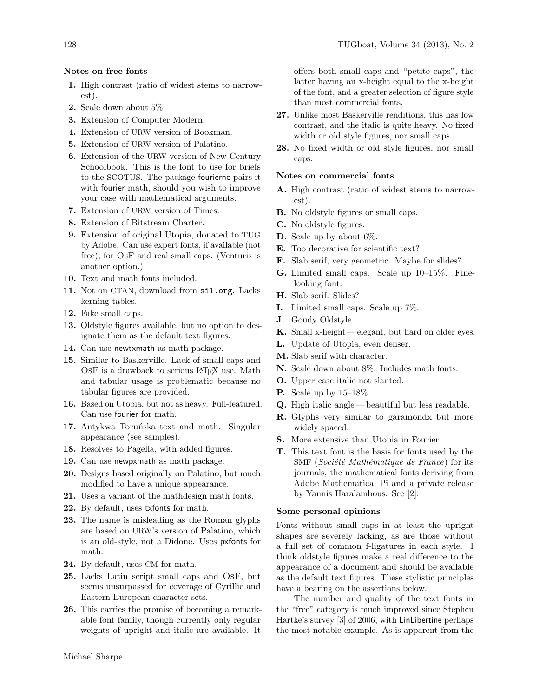## Notes on free fonts

- 1. High contrast (ratio of widest stems to narrowest).
- 2. Scale down about 5%.
- 3. Extension of Computer Modern.
- 4. Extension of URW version of Bookman.
- 5. Extension of URW version of Palatino.
- 6. Extension of the URW version of New Century Schoolbook. This is the font to use for briefs to the SCOTUS. The package fouriernc pairs it with fourier math, should you wish to improve your case with mathematical arguments.
- 7. Extension of URW version of Times.
- 8. Extension of Bitstream Charter.
- 9. Extension of original Utopia, donated to TUG by Adobe. Can use expert fonts, if available (not free), for OsF and real small caps. (Venturis is another option.)
- 10. Text and math fonts included.
- 11. Not on CTAN, download from <sil.org>. Lacks kerning tables.
- 12. Fake small caps.
- 13. Oldstyle figures available, but no option to designate them as the default text figures.
- 14. Can use newtxmath as math package.
- 15. Similar to Baskerville. Lack of small caps and OSF is a drawback to serious LAT<sub>F</sub>X use. Math and tabular usage is problematic because no tabular figures are provided.
- 16. Based on Utopia, but not as heavy. Full-featured. Can use fourier for math.
- 17. Antykwa Toruńska text and math. Singular appearance (see samples).
- 18. Resolves to Pagella, with added figures.
- 19. Can use newpxmath as math package.
- 20. Designs based originally on Palatino, but much modified to have a unique appearance.
- 21. Uses a variant of the mathdesign math fonts.
- 22. By default, uses txfonts for math.
- 23. The name is misleading as the Roman glyphs are based on URW's version of Palatino, which is an old-style, not a Didone. Uses pxfonts for math.
- 24. By default, uses CM for math.
- 25. Lacks Latin script small caps and OsF, but seems unsurpassed for coverage of Cyrillic and Eastern European character sets.
- 26. This carries the promise of becoming a remarkable font family, though currently only regular weights of upright and italic are available. It

offers both small caps and "petite caps", the latter having an x-height equal to the x-height of the font, and a greater selection of figure style than most commercial fonts.

- 27. Unlike most Baskerville renditions, this has low contrast, and the italic is quite heavy. No fixed width or old style figures, nor small caps.
- 28. No fixed width or old style figures, nor small caps.

### Notes on commercial fonts

- A. High contrast (ratio of widest stems to narrowest).
- B. No oldstyle figures or small caps.
- C. No oldstyle figures.
- D. Scale up by about 6%.
- E. Too decorative for scientific text?
- F. Slab serif, very geometric. Maybe for slides?
- G. Limited small caps. Scale up 10–15%. Finelooking font.
- H. Slab serif. Slides?
- I. Limited small caps. Scale up 7%.
- J. Goudy Oldstyle.
- **K.** Small x-height elegant, but hard on older eyes.
- L. Update of Utopia, even denser.
- M. Slab serif with character.
- N. Scale down about 8%. Includes math fonts.
- O. Upper case italic not slanted.
- P. Scale up by 15–18%.
- Q. High italic angle— beautiful but less readable.
- R. Glyphs very similar to garamondx but more widely spaced.
- S. More extensive than Utopia in Fourier.
- T. This text font is the basis for fonts used by the SMF ( $Société Mathématique de France$ ) for its journals, the mathematical fonts deriving from Adobe Mathematical Pi and a private release by Yannis Haralambous. See [\[2\]](#page-4-1).

#### Some personal opinions

Fonts without small caps in at least the upright shapes are severely lacking, as are those without a full set of common f-ligatures in each style. I think oldstyle figures make a real difference to the appearance of a document and should be available as the default text figures. These stylistic principles have a bearing on the assertions below.

The number and quality of the text fonts in the "free" category is much improved since Stephen Hartke's survey [\[3\]](#page-4-2) of 2006, with LinLibertine perhaps the most notable example. As is apparent from the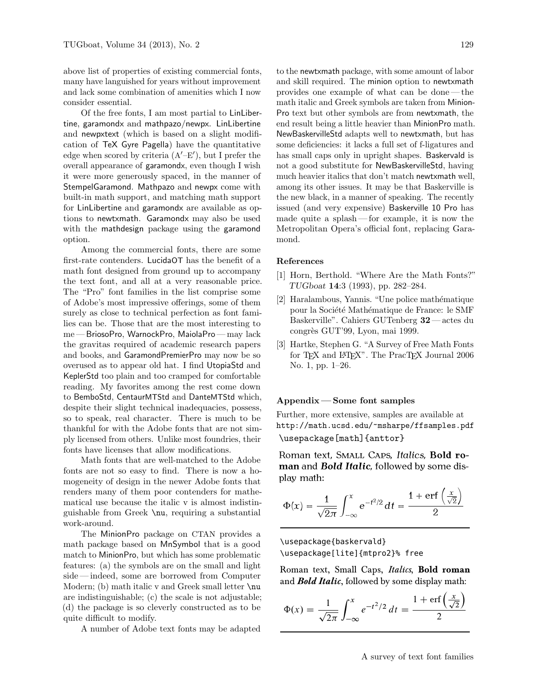above list of properties of existing commercial fonts, many have languished for years without improvement and lack some combination of amenities which I now consider essential.

Of the free fonts, I am most partial to LinLibertine, garamondx and mathpazo/newpx. LinLibertine and newpxtext (which is based on a slight modification of TeX Gyre Pagella) have the quantitative edge when scored by criteria  $(A'-E')$ , but I prefer the overall appearance of garamondx, even though I wish it were more generously spaced, in the manner of StempelGaramond. Mathpazo and newpx come with built-in math support, and matching math support for LinLibertine and garamondx are available as options to newtxmath. Garamondx may also be used with the mathdesign package using the garamond option.

Among the commercial fonts, there are some first-rate contenders. LucidaOT has the benefit of a math font designed from ground up to accompany the text font, and all at a very reasonable price. The "Pro" font families in the list comprise some of Adobe's most impressive offerings, some of them surely as close to technical perfection as font families can be. Those that are the most interesting to me — BriosoPro, WarnockPro, MaiolaPro — may lack the gravitas required of academic research papers and books, and GaramondPremierPro may now be so overused as to appear old hat. I find UtopiaStd and KeplerStd too plain and too cramped for comfortable reading. My favorites among the rest come down to BemboStd, CentaurMTStd and DanteMTStd which, despite their slight technical inadequacies, possess, so to speak, real character. There is much to be thankful for with the Adobe fonts that are not simply licensed from others. Unlike most foundries, their fonts have licenses that allow modifications.

Math fonts that are well-matched to the Adobe fonts are not so easy to find. There is now a homogeneity of design in the newer Adobe fonts that renders many of them poor contenders for mathematical use because the italic v is almost indistinguishable from Greek \nu, requiring a substantial work-around.

The MinionPro package on CTAN provides a math package based on MnSymbol that is a good match to MinionPro, but which has some problematic features: (a) the symbols are on the small and light side— indeed, some are borrowed from Computer Modern; (b) math italic v and Greek small letter  $\nu$ are indistinguishable; (c) the scale is not adjustable; (d) the package is so cleverly constructed as to be quite difficult to modify.

A number of Adobe text fonts may be adapted

to the newtxmath package, with some amount of labor and skill required. The minion option to newtxmath provides one example of what can be done— the math italic and Greek symbols are taken from Minion-Pro text but other symbols are from newtxmath, the end result being a little heavier than MinionPro math. NewBaskervilleStd adapts well to newtxmath, but has some deficiencies: it lacks a full set of f-ligatures and has small caps only in upright shapes. Baskervald is not a good substitute for NewBaskervilleStd, having much heavier italics that don't match newtxmath well, among its other issues. It may be that Baskerville is the new black, in a manner of speaking. The recently issued (and very expensive) Baskerville 10 Pro has made quite a splash— for example, it is now the Metropolitan Opera's official font, replacing Garamond.

### References

- <span id="page-4-0"></span>[1] Horn, Berthold. "Where Are the Math Fonts?" TUGboat 14:3 (1993), pp. 282–284.
- <span id="page-4-1"></span>[2] Haralambous, Yannis. "Une police mathématique pour la Société Mathématique de France: le SMF Baskerville". Cahiers GUTenberg 32 — actes du congrès GUT'99, Lyon, mai 1999.
- <span id="page-4-2"></span>[3] Hartke, Stephen G. "A Survey of Free Math Fonts for TFX and LATFX". The PracTFX Journal 2006 No. 1, pp. 1–26.

### Appendix — Some font samples

Further, more extensive, samples are available at <http://math.ucsd.edu/~msharpe/ffsamples.pdf> \usepackage[math]{anttor}

Roman text, SMALL CAPS, *Italics*, **Bold roman** and *Bold Italic*, followed by some display math:

$$
\Phi(x) = \frac{1}{\sqrt{2\pi}} \int_{-\infty}^{x} e^{-t^2/2} dt = \frac{1 + \operatorname{erf}\left(\frac{x}{\sqrt{2}}\right)}{2}
$$

\usepackage{baskervald} \usepackage[lite]{mtpro2}% free

Roman text, Small Caps, *Italics*, **Bold roman** and *Bold Italic*, followed by some display math:

$$
\Phi(x) = \frac{1}{\sqrt{2\pi}} \int_{-\infty}^{x} e^{-t^2/2} dt = \frac{1 + \text{erf}\left(\frac{x}{\sqrt{2}}\right)}{2}
$$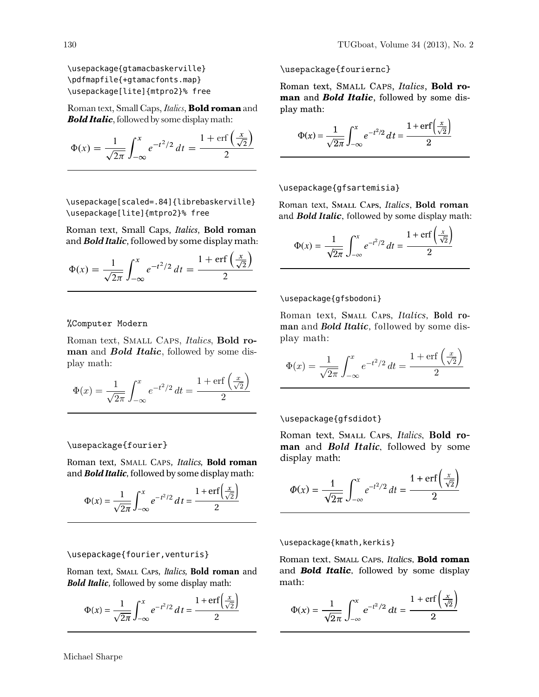\usepackage{gtamacbaskerville} \pdfmapfile{+gtamacfonts.map} \usepackage[lite]{mtpro2}% free

Roman text, Small Caps, *Italics*, **Bold roman** and *Bold Italic*, followed by some display math:

$$
\Phi(x) = \frac{1}{\sqrt{2\pi}} \int_{-\infty}^{x} e^{-t^2/2} dt = \frac{1 + \text{erf}\left(\frac{x}{\sqrt{2}}\right)}{2}
$$

\usepackage[scaled=.84]{librebaskerville} \usepackage[lite]{mtpro2}% free

Roman text, Small Caps, *Italics*, **Bold roman** and *Bold Italic*, followed by some display math:

$$
\Phi(x) = \frac{1}{\sqrt{2\pi}} \int_{-\infty}^{x} e^{-t^2/2} dt = \frac{1 + \text{erf}\left(\frac{x}{\sqrt{2}}\right)}{2}
$$

## %Computer Modern

Roman text, SMALL CAPS, Italics, Bold roman and **Bold Italic**, followed by some display math:

$$
\Phi(x) = \frac{1}{\sqrt{2\pi}} \int_{-\infty}^{x} e^{-t^2/2} dt = \frac{1 + \text{erf}\left(\frac{x}{\sqrt{2}}\right)}{2}
$$

## \usepackage{fourier}

Roman text, SMALL CAPS, *Italics*, **Bold roman** and *Bold Italic*, followed by some display math:

$$
\Phi(x) = \frac{1}{\sqrt{2\pi}} \int_{-\infty}^{x} e^{-t^2/2} dt = \frac{1 + \text{erf}\left(\frac{x}{\sqrt{2}}\right)}{2}
$$

### \usepackage{fourier,venturis}

Roman text, Small Caps, *Italics*, **Bold roman** and *Bold Italic*, followed by some display math:

$$
\Phi(x) = \frac{1}{\sqrt{2\pi}} \int_{-\infty}^{x} e^{-t^2/2} dt = \frac{1 + \text{erf}\left(\frac{x}{\sqrt{2}}\right)}{2}
$$

\usepackage{fouriernc}

Roman text, SMALL CAPS, *Italics*, **Bold roman** and *Bold Italic*, followed by some display math:

$$
\Phi(x) = \frac{1}{\sqrt{2\pi}} \int_{-\infty}^{x} e^{-t^2/2} dt = \frac{1 + \text{erf}\left(\frac{x}{\sqrt{2}}\right)}{2}
$$

#### \usepackage{gfsartemisia}

Roman text, SMALL CAPS, *Italics*, **Bold roman** and *Bold Italic*, followed by some display math:

$$
\Phi(x) = \frac{1}{\sqrt{2\pi}} \int_{-\infty}^{x} e^{-t^2/2} dt = \frac{1 + \text{erf}\left(\frac{x}{\sqrt{2}}\right)}{2}
$$

### \usepackage{gfsbodoni}

Roman text, SMALL CAPS, *Italics*, Bold ro**man** and *Bold Italic*, followed by some display math:

$$
\Phi(x) = \frac{1}{\sqrt{2\pi}} \int_{-\infty}^{x} e^{-t^2/2} dt = \frac{1 + \text{erf}\left(\frac{x}{\sqrt{2}}\right)}{2}
$$

#### \usepackage{gfsdidot}

Roman text, SMALL CAPS, Italics, Bold ro**man** and *Bold Italic*, followed by some display math:

$$
\Phi(x) = \frac{1}{\sqrt{2\pi}} \int_{-\infty}^{x} e^{-t^2/2} dt = \frac{1 + \text{erf}\left(\frac{x}{\sqrt{2}}\right)}{2}
$$

\usepackage{kmath, kerkis}

Roman text, Small Caps, *Italics*, **Bold roman** and *Bold Italic*, followed by some display math:

 $\sqrt{2}$ 

$$
\Phi(x) = \frac{1}{\sqrt{2\pi}} \int_{-\infty}^{x} e^{-t^2/2} dt = \frac{1 + \text{erf}\left(\frac{x}{\sqrt{2}}\right)}{2}
$$